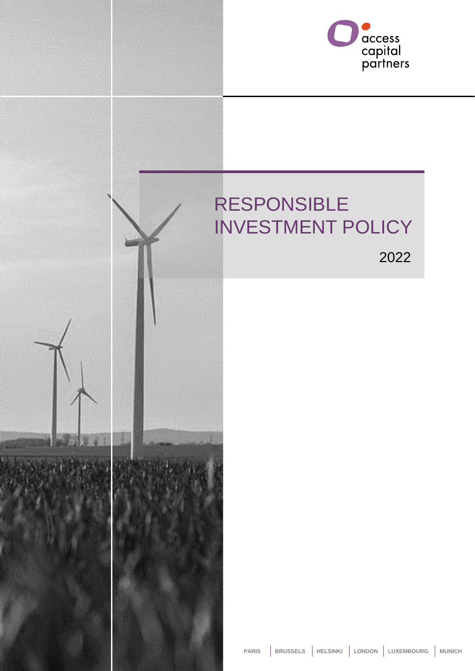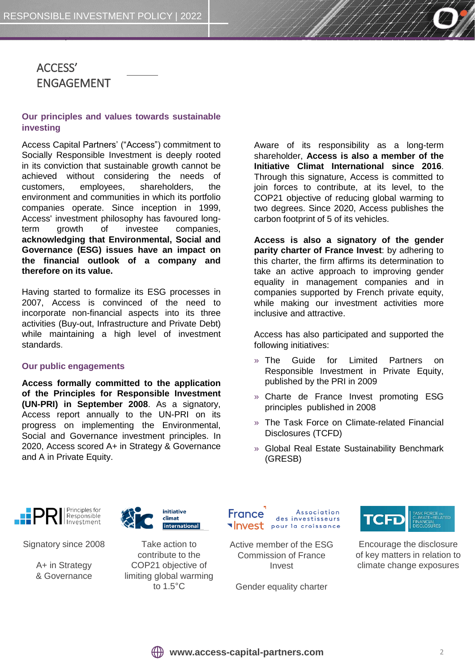# ACCESS' ENGAGEMENT

### **Our principles and values towards sustainable investing**

Access Capital Partners' ("Access") commitment to Socially Responsible Investment is deeply rooted in its conviction that sustainable growth cannot be achieved without considering the needs of customers, employees, shareholders, the environment and communities in which its portfolio companies operate. Since inception in 1999, Access' investment philosophy has favoured longterm growth of investee companies, **acknowledging that Environmental, Social and Governance (ESG) issues have an impact on the financial outlook of a company and therefore on its value.**

Having started to formalize its ESG processes in 2007, Access is convinced of the need to incorporate non-financial aspects into its three activities (Buy-out, Infrastructure and Private Debt) while maintaining a high level of investment standards.

#### **Our public engagements**

**Access formally committed to the application of the Principles for Responsible Investment (UN-PRI) in September 2008**. As a signatory, Access report annually to the UN-PRI on its progress on implementing the Environmental, Social and Governance investment principles. In 2020, Access scored A+ in Strategy & Governance and A in Private Equity.

Aware of its responsibility as a long-term shareholder, **Access is also a member of the Initiative Climat International since 2016**. Through this signature, Access is committed to join forces to contribute, at its level, to the COP21 objective of reducing global warming to two degrees. Since 2020, Access publishes the carbon footprint of 5 of its vehicles.

**Access is also a signatory of the gender parity charter of France Invest**: by adhering to this charter, the firm affirms its determination to take an active approach to improving gender equality in management companies and in companies supported by French private equity, while making our investment activities more inclusive and attractive.

Access has also participated and supported the following initiatives:

- » The Guide for Limited Partners on Responsible Investment in Private Equity, published by the PRI in 2009
- » Charte de France Invest promoting ESG principles published in 2008
- » The Task Force on Climate-related Financial Disclosures (TCFD)
- » Global Real Estate Sustainability Benchmark (GRESB)



Signatory since 2008

A+ in Strategy & Governance



Take action to contribute to the COP21 objective of limiting global warming to 1.5°C

Association France des investisseurs **Invest** pour la croissance

Active member of the ESG Commission of France Invest

Gender equality charter



Encourage the disclosure of key matters in relation to climate change exposures

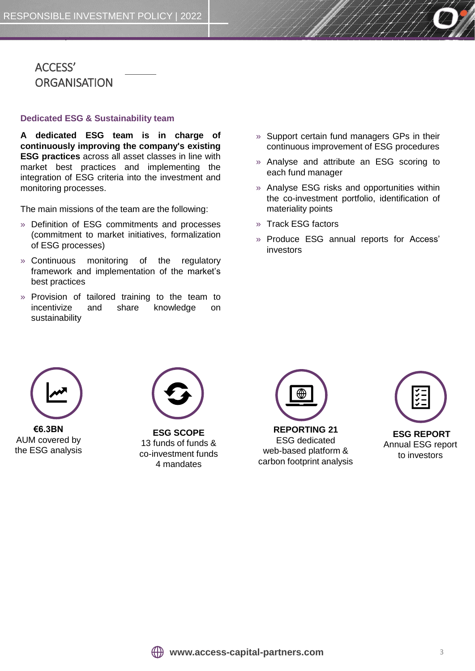# ACCESS' **ORGANISATION**

#### **Dedicated ESG & Sustainability team**

**A dedicated ESG team is in charge of continuously improving the company's existing ESG practices** across all asset classes in line with market best practices and implementing the integration of ESG criteria into the investment and monitoring processes.

The main missions of the team are the following:

- » Definition of ESG commitments and processes (commitment to market initiatives, formalization of ESG processes)
- » Continuous monitoring of the regulatory framework and implementation of the market's best practices
- » Provision of tailored training to the team to incentivize and share knowledge on sustainability
- » Support certain fund managers GPs in their continuous improvement of ESG procedures
- » Analyse and attribute an ESG scoring to each fund manager
- » Analyse ESG risks and opportunities within the co-investment portfolio, identification of materiality points
- » Track ESG factors
- » Produce ESG annual reports for Access' investors



**€6.3BN** AUM covered by the ESG analysis



**ESG SCOPE** 13 funds of funds & co-investment funds 4 mandates



ESG dedicated web-based platform & carbon footprint analysis

| <b>ESG REPORT</b> |
|-------------------|
| Annual ESG report |
| to investors      |

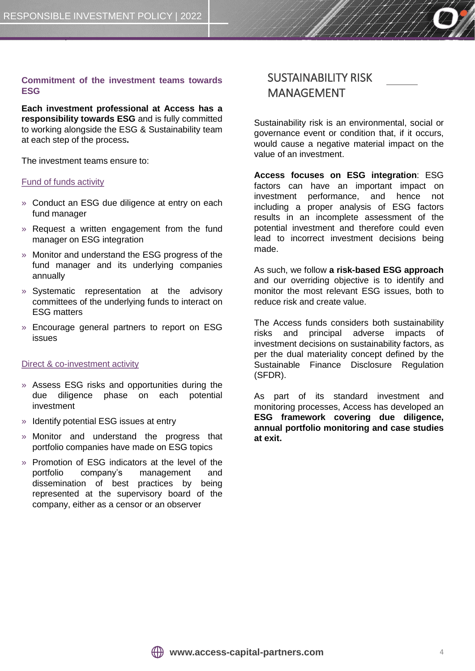### **Commitment of the investment teams towards ESG**

**Each investment professional at Access has a responsibility towards ESG** and is fully committed to working alongside the ESG & Sustainability team at each step of the process**.**

The investment teams ensure to:

#### Fund of funds activity

- » Conduct an ESG due diligence at entry on each fund manager
- » Request a written engagement from the fund manager on ESG integration
- » Monitor and understand the ESG progress of the fund manager and its underlying companies annually
- » Systematic representation at the advisory committees of the underlying funds to interact on ESG matters
- » Encourage general partners to report on ESG issues

#### Direct & co-investment activity

- » Assess ESG risks and opportunities during the due diligence phase on each potential investment
- » Identify potential ESG issues at entry
- » Monitor and understand the progress that portfolio companies have made on ESG topics
- » Promotion of ESG indicators at the level of the portfolio company's management and dissemination of best practices by being represented at the supervisory board of the company, either as a censor or an observer

### SUSTAINABILITY RISK MANAGEMENT

Sustainability risk is an environmental, social or governance event or condition that, if it occurs, would cause a negative material impact on the value of an investment.

**Access focuses on ESG integration**: ESG factors can have an important impact on investment performance, and hence not including a proper analysis of ESG factors results in an incomplete assessment of the potential investment and therefore could even lead to incorrect investment decisions being made.

As such, we follow **a risk-based ESG approach** and our overriding objective is to identify and monitor the most relevant ESG issues, both to reduce risk and create value.

The Access funds considers both sustainability risks and principal adverse impacts of investment decisions on sustainability factors, as per the dual materiality concept defined by the Sustainable Finance Disclosure Regulation (SFDR).

As part of its standard investment and monitoring processes, Access has developed an **ESG framework covering due diligence, annual portfolio monitoring and case studies at exit.**

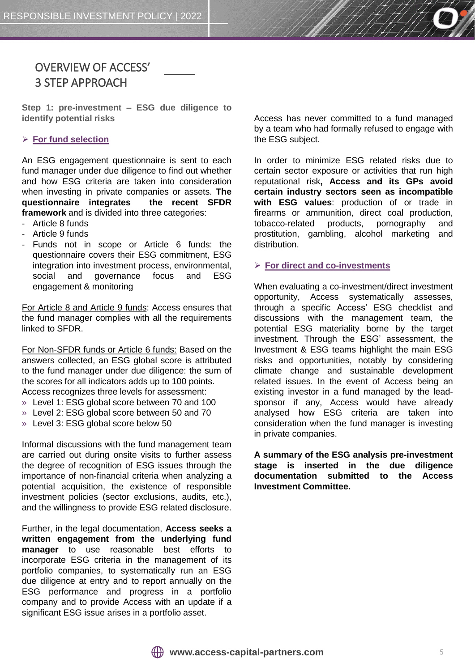

**Step 1: pre-investment – ESG due diligence to identify potential risks**

#### ➢ **For fund selection**

An ESG engagement questionnaire is sent to each fund manager under due diligence to find out whether and how ESG criteria are taken into consideration when investing in private companies or assets. **The questionnaire integrates the recent SFDR framework** and is divided into three categories:

- Article 8 funds
- Article 9 funds
- Funds not in scope or Article 6 funds: the questionnaire covers their ESG commitment, ESG integration into investment process, environmental, social and governance focus and ESG engagement & monitoring

For Article 8 and Article 9 funds: Access ensures that the fund manager complies with all the requirements linked to SFDR.

For Non-SFDR funds or Article 6 funds: Based on the answers collected, an ESG global score is attributed to the fund manager under due diligence: the sum of the scores for all indicators adds up to 100 points. Access recognizes three levels for assessment:

- » Level 1: ESG global score between 70 and 100
- » Level 2: ESG global score between 50 and 70
- » Level 3: ESG global score below 50

Informal discussions with the fund management team are carried out during onsite visits to further assess the degree of recognition of ESG issues through the importance of non-financial criteria when analyzing a potential acquisition, the existence of responsible investment policies (sector exclusions, audits, etc.), and the willingness to provide ESG related disclosure.

Further, in the legal documentation, **Access seeks a written engagement from the underlying fund manager** to use reasonable best efforts to incorporate ESG criteria in the management of its portfolio companies, to systematically run an ESG due diligence at entry and to report annually on the ESG performance and progress in a portfolio company and to provide Access with an update if a significant ESG issue arises in a portfolio asset.

Access has never committed to a fund managed by a team who had formally refused to engage with the ESG subject.

In order to minimize ESG related risks due to certain sector exposure or activities that run high reputational risk**, Access and its GPs avoid certain industry sectors seen as incompatible with ESG values**: production of or trade in firearms or ammunition, direct coal production, tobacco-related products, pornography and prostitution, gambling, alcohol marketing and distribution.

#### ➢ **For direct and co-investments**

When evaluating a co-investment/direct investment opportunity, Access systematically assesses, through a specific Access' ESG checklist and discussions with the management team, the potential ESG materiality borne by the target investment. Through the ESG' assessment, the Investment & ESG teams highlight the main ESG risks and opportunities, notably by considering climate change and sustainable development related issues. In the event of Access being an existing investor in a fund managed by the leadsponsor if any, Access would have already analysed how ESG criteria are taken into consideration when the fund manager is investing in private companies.

**A summary of the ESG analysis pre-investment stage is inserted in the due diligence documentation submitted to the Access Investment Committee.**

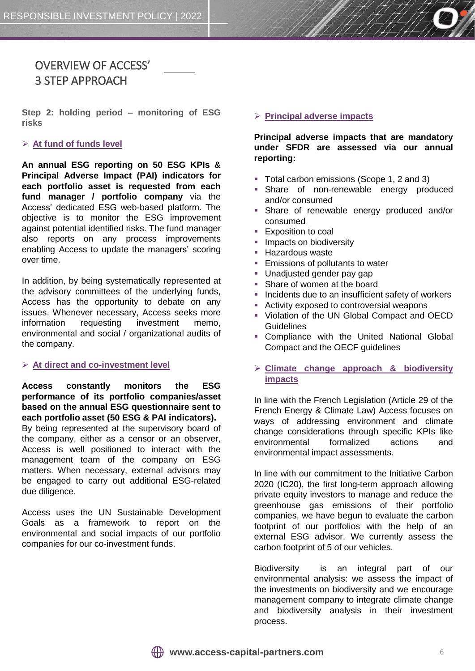

# OVERVIEW OF ACCESS' 3 STEP APPROACH

**Step 2: holding period – monitoring of ESG risks**

### ➢ **At fund of funds level**

**An annual ESG reporting on 50 ESG KPIs & Principal Adverse Impact (PAI) indicators for each portfolio asset is requested from each fund manager / portfolio company** via the Access' dedicated ESG web-based platform. The objective is to monitor the ESG improvement against potential identified risks. The fund manager also reports on any process improvements enabling Access to update the managers' scoring over time.

In addition, by being systematically represented at the advisory committees of the underlying funds, Access has the opportunity to debate on any issues. Whenever necessary, Access seeks more information requesting investment memo, environmental and social / organizational audits of the company.

#### ➢ **At direct and co-investment level**

**Access constantly monitors the ESG performance of its portfolio companies/asset based on the annual ESG questionnaire sent to each portfolio asset (50 ESG & PAI indicators).** By being represented at the supervisory board of the company, either as a censor or an observer, Access is well positioned to interact with the management team of the company on ESG matters. When necessary, external advisors may be engaged to carry out additional ESG-related due diligence.

Access uses the UN Sustainable Development Goals as a framework to report on the environmental and social impacts of our portfolio companies for our co-investment funds.

#### ➢ **Principal adverse impacts**

**Principal adverse impacts that are mandatory under SFDR are assessed via our annual reporting:**

- Total carbon emissions (Scope 1, 2 and 3)
- **Share of non-renewable energy produced** and/or consumed
- **Share of renewable energy produced and/or** consumed
- **Exposition to coal**
- Impacts on biodiversity
- **E** Hazardous waste
- Emissions of pollutants to water
- **■** Unadjusted gender pay gap
- Share of women at the board
- Incidents due to an insufficient safety of workers
- Activity exposed to controversial weapons
- Violation of the UN Global Compact and OECD **Guidelines**
- **Compliance with the United National Global** Compact and the OECF guidelines
- ➢ **Climate change approach & biodiversity impacts**

In line with the French Legislation (Article 29 of the French Energy & Climate Law) Access focuses on ways of addressing environment and climate change considerations through specific KPIs like environmental formalized actions and environmental impact assessments.

In line with our commitment to the Initiative Carbon 2020 (IC20), the first long-term approach allowing private equity investors to manage and reduce the greenhouse gas emissions of their portfolio companies, we have begun to evaluate the carbon footprint of our portfolios with the help of an external ESG advisor. We currently assess the carbon footprint of 5 of our vehicles.

Biodiversity is an integral part of our environmental analysis: we assess the impact of the investments on biodiversity and we encourage management company to integrate climate change and biodiversity analysis in their investment process.

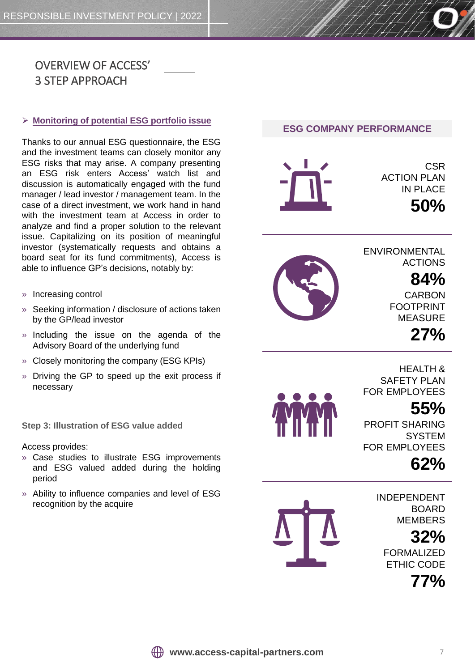

#### ➢ **Monitoring of potential ESG portfolio issue**

Thanks to our annual ESG questionnaire, the ESG and the investment teams can closely monitor any ESG risks that may arise. A company presenting an ESG risk enters Access' watch list and discussion is automatically engaged with the fund manager / lead investor / management team. In the case of a direct investment, we work hand in hand with the investment team at Access in order to analyze and find a proper solution to the relevant issue. Capitalizing on its position of meaningful investor (systematically requests and obtains a board seat for its fund commitments), Access is able to influence GP's decisions, notably by:

- » Increasing control
- » Seeking information / disclosure of actions taken by the GP/lead investor
- » Including the issue on the agenda of the Advisory Board of the underlying fund
- » Closely monitoring the company (ESG KPIs)
- » Driving the GP to speed up the exit process if necessary

**Step 3: Illustration of ESG value added**

Access provides:

- » Case studies to illustrate ESG improvements and ESG valued added during the holding period
- » Ability to influence companies and level of ESG recognition by the acquire





**CSR ACTION PLAN** IN PLACE



**ENVIRONMENTAL** ACTIONS

# **84%**

**50%**

CARBON FOOTPRINT MEASURE

**27%**

HEALTH & SAFFTY PLAN FOR EMPLOYEES

# **55%**

PROFIT SHARING **SYSTEM** FOR EMPLOYEES

# **62%**



INDEPENDENT BOARD MEMBERS **32%**  FORMALIZED ETHIC CODE

**77%**

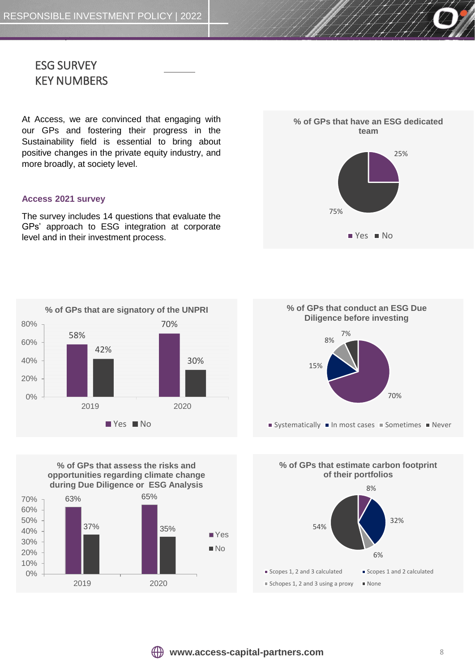

At Access, we are convinced that engaging with our GPs and fostering their progress in the Sustainability field is essential to bring about positive changes in the private equity industry, and more broadly, at society level.

#### **Access 2021 survey**

The survey includes 14 questions that evaluate the GPs' approach to ESG integration at corporate level and in their investment process.